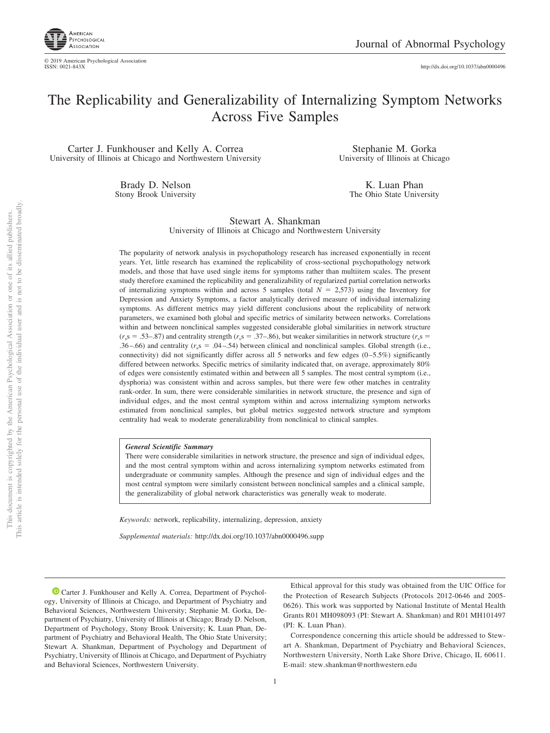

http://dx.doi.org/10.1037/abn0000496

## The Replicability and Generalizability of Internalizing Symptom Networks Across Five Samples

Carter J. Funkhouser and Kelly A. Correa University of Illinois at Chicago and Northwestern University

> Brady D. Nelson Stony Brook University

Stephanie M. Gorka University of Illinois at Chicago

> K. Luan Phan The Ohio State University

Stewart A. Shankman University of Illinois at Chicago and Northwestern University

The popularity of network analysis in psychopathology research has increased exponentially in recent years. Yet, little research has examined the replicability of cross-sectional psychopathology network models, and those that have used single items for symptoms rather than multiitem scales. The present study therefore examined the replicability and generalizability of regularized partial correlation networks of internalizing symptoms within and across 5 samples (total  $N = 2.573$ ) using the Inventory for Depression and Anxiety Symptoms, a factor analytically derived measure of individual internalizing symptoms. As different metrics may yield different conclusions about the replicability of network parameters, we examined both global and specific metrics of similarity between networks. Correlations within and between nonclinical samples suggested considerable global similarities in network structure  $(r<sub>s</sub>s = .53-.87)$  and centrality strength ( $r<sub>s</sub>s = .37-.86$ ), but weaker similarities in network structure ( $r<sub>s</sub>s =$ .36–.66) and centrality  $(r<sub>s</sub>s = .04-0.54)$  between clinical and nonclinical samples. Global strength (i.e., connectivity) did not significantly differ across all 5 networks and few edges  $(0-5.5%)$  significantly differed between networks. Specific metrics of similarity indicated that, on average, approximately 80% of edges were consistently estimated within and between all 5 samples. The most central symptom (i.e., dysphoria) was consistent within and across samples, but there were few other matches in centrality rank-order. In sum, there were considerable similarities in network structure, the presence and sign of individual edges, and the most central symptom within and across internalizing symptom networks estimated from nonclinical samples, but global metrics suggested network structure and symptom centrality had weak to moderate generalizability from nonclinical to clinical samples.

*General Scientific Summary*

There were considerable similarities in network structure, the presence and sign of individual edges, and the most central symptom within and across internalizing symptom networks estimated from undergraduate or community samples. Although the presence and sign of individual edges and the most central symptom were similarly consistent between nonclinical samples and a clinical sample, the generalizability of global network characteristics was generally weak to moderate.

*Keywords:* network, replicability, internalizing, depression, anxiety

*Supplemental materials:* http://dx.doi.org/10.1037/abn0000496.supp

**D** Carter J. Funkhouser and Kelly A. Correa, Department of Psychology, University of Illinois at Chicago, and Department of Psychiatry and Behavioral Sciences, Northwestern University; Stephanie M. Gorka, Department of Psychiatry, University of Illinois at Chicago; Brady D. Nelson, Department of Psychology, Stony Brook University; K. Luan Phan, Department of Psychiatry and Behavioral Health, The Ohio State University; Stewart A. Shankman, Department of Psychology and Department of Psychiatry, University of Illinois at Chicago, and Department of Psychiatry and Behavioral Sciences, Northwestern University.

Ethical approval for this study was obtained from the UIC Office for the Protection of Research Subjects (Protocols 2012-0646 and 2005- 0626). This work was supported by National Institute of Mental Health Grants R01 MH098093 (PI: Stewart A. Shankman) and R01 MH101497 (PI: K. Luan Phan).

Correspondence concerning this article should be addressed to Stewart A. Shankman, Department of Psychiatry and Behavioral Sciences, Northwestern University, North Lake Shore Drive, Chicago, IL 60611. E-mail: stew.shankman@northwestern.edu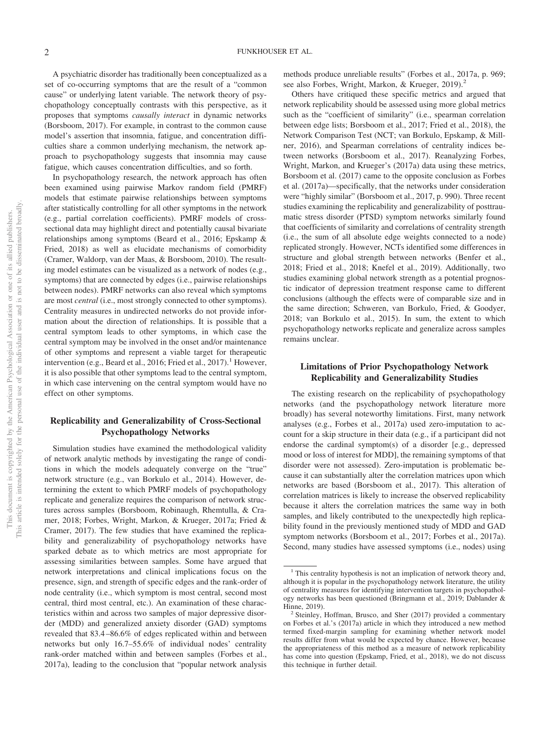A psychiatric disorder has traditionally been conceptualized as a set of co-occurring symptoms that are the result of a "common cause" or underlying latent variable. The network theory of psychopathology conceptually contrasts with this perspective, as it proposes that symptoms *causally interact* in dynamic networks (Borsboom, 2017). For example, in contrast to the common cause model's assertion that insomnia, fatigue, and concentration difficulties share a common underlying mechanism, the network approach to psychopathology suggests that insomnia may cause fatigue, which causes concentration difficulties, and so forth.

In psychopathology research, the network approach has often been examined using pairwise Markov random field (PMRF) models that estimate pairwise relationships between symptoms after statistically controlling for all other symptoms in the network (e.g., partial correlation coefficients). PMRF models of crosssectional data may highlight direct and potentially causal bivariate relationships among symptoms (Beard et al., 2016; Epskamp & Fried, 2018) as well as elucidate mechanisms of comorbidity (Cramer, Waldorp, van der Maas, & Borsboom, 2010). The resulting model estimates can be visualized as a network of nodes (e.g., symptoms) that are connected by edges (i.e., pairwise relationships between nodes). PMRF networks can also reveal which symptoms are most *central* (i.e., most strongly connected to other symptoms). Centrality measures in undirected networks do not provide information about the direction of relationships. It is possible that a central symptom leads to other symptoms, in which case the central symptom may be involved in the onset and/or maintenance of other symptoms and represent a viable target for therapeutic intervention (e.g., Beard et al., 2016; Fried et al., 2017).<sup>1</sup> However, it is also possible that other symptoms lead to the central symptom, in which case intervening on the central symptom would have no effect on other symptoms.

### **Replicability and Generalizability of Cross-Sectional Psychopathology Networks**

Simulation studies have examined the methodological validity of network analytic methods by investigating the range of conditions in which the models adequately converge on the "true" network structure (e.g., van Borkulo et al., 2014). However, determining the extent to which PMRF models of psychopathology replicate and generalize requires the comparison of network structures across samples (Borsboom, Robinaugh, Rhemtulla, & Cramer, 2018; Forbes, Wright, Markon, & Krueger, 2017a; Fried & Cramer, 2017). The few studies that have examined the replicability and generalizability of psychopathology networks have sparked debate as to which metrics are most appropriate for assessing similarities between samples. Some have argued that network interpretations and clinical implications focus on the presence, sign, and strength of specific edges and the rank-order of node centrality (i.e., which symptom is most central, second most central, third most central, etc.). An examination of these characteristics within and across two samples of major depressive disorder (MDD) and generalized anxiety disorder (GAD) symptoms revealed that 83.4 –86.6% of edges replicated within and between networks but only 16.7–55.6% of individual nodes' centrality rank-order matched within and between samples (Forbes et al., 2017a), leading to the conclusion that "popular network analysis

methods produce unreliable results" (Forbes et al., 2017a, p. 969; see also Forbes, Wright, Markon, & Krueger, 2019).<sup>2</sup>

Others have critiqued these specific metrics and argued that network replicability should be assessed using more global metrics such as the "coefficient of similarity" (i.e., spearman correlation between edge lists; Borsboom et al., 2017; Fried et al., 2018), the Network Comparison Test (NCT; van Borkulo, Epskamp, & Millner, 2016), and Spearman correlations of centrality indices between networks (Borsboom et al., 2017). Reanalyzing Forbes, Wright, Markon, and Krueger's (2017a) data using these metrics, Borsboom et al. (2017) came to the opposite conclusion as Forbes et al. (2017a)—specifically, that the networks under consideration were "highly similar" (Borsboom et al., 2017, p. 990). Three recent studies examining the replicability and generalizability of posttraumatic stress disorder (PTSD) symptom networks similarly found that coefficients of similarity and correlations of centrality strength (i.e., the sum of all absolute edge weights connected to a node) replicated strongly. However, NCTs identified some differences in structure and global strength between networks (Benfer et al., 2018; Fried et al., 2018; Knefel et al., 2019). Additionally, two studies examining global network strength as a potential prognostic indicator of depression treatment response came to different conclusions (although the effects were of comparable size and in the same direction; Schweren, van Borkulo, Fried, & Goodyer, 2018; van Borkulo et al., 2015). In sum, the extent to which psychopathology networks replicate and generalize across samples remains unclear.

### **Limitations of Prior Psychopathology Network Replicability and Generalizability Studies**

The existing research on the replicability of psychopathology networks (and the psychopathology network literature more broadly) has several noteworthy limitations. First, many network analyses (e.g., Forbes et al., 2017a) used zero-imputation to account for a skip structure in their data (e.g., if a participant did not endorse the cardinal symptom(s) of a disorder [e.g., depressed mood or loss of interest for MDD], the remaining symptoms of that disorder were not assessed). Zero-imputation is problematic because it can substantially alter the correlation matrices upon which networks are based (Borsboom et al., 2017). This alteration of correlation matrices is likely to increase the observed replicability because it alters the correlation matrices the same way in both samples, and likely contributed to the unexpectedly high replicability found in the previously mentioned study of MDD and GAD symptom networks (Borsboom et al., 2017; Forbes et al., 2017a). Second, many studies have assessed symptoms (i.e., nodes) using

 $1$ <sup>1</sup> This centrality hypothesis is not an implication of network theory and, although it is popular in the psychopathology network literature, the utility of centrality measures for identifying intervention targets in psychopathology networks has been questioned (Bringmann et al., 2019; Dablander &

Hinne, 2019). <sup>2</sup> Steinley, Hoffman, Brusco, and Sher (2017) provided a commentary on Forbes et al.'s (2017a) article in which they introduced a new method termed fixed-margin sampling for examining whether network model results differ from what would be expected by chance. However, because the appropriateness of this method as a measure of network replicability has come into question (Epskamp, Fried, et al., 2018), we do not discuss this technique in further detail.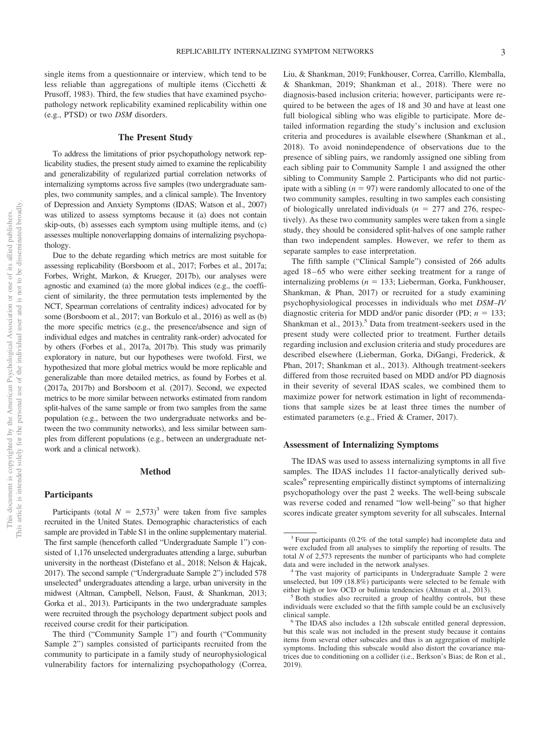single items from a questionnaire or interview, which tend to be less reliable than aggregations of multiple items (Cicchetti & Prusoff, 1983). Third, the few studies that have examined psychopathology network replicability examined replicability within one (e.g., PTSD) or two *DSM* disorders.

### **The Present Study**

To address the limitations of prior psychopathology network replicability studies, the present study aimed to examine the replicability and generalizability of regularized partial correlation networks of internalizing symptoms across five samples (two undergraduate samples, two community samples, and a clinical sample). The Inventory of Depression and Anxiety Symptoms (IDAS; Watson et al., 2007) was utilized to assess symptoms because it (a) does not contain skip-outs, (b) assesses each symptom using multiple items, and (c) assesses multiple nonoverlapping domains of internalizing psychopathology.

Due to the debate regarding which metrics are most suitable for assessing replicability (Borsboom et al., 2017; Forbes et al., 2017a; Forbes, Wright, Markon, & Krueger, 2017b), our analyses were agnostic and examined (a) the more global indices (e.g., the coefficient of similarity, the three permutation tests implemented by the NCT, Spearman correlations of centrality indices) advocated for by some (Borsboom et al., 2017; van Borkulo et al., 2016) as well as (b) the more specific metrics (e.g., the presence/absence and sign of individual edges and matches in centrality rank-order) advocated for by others (Forbes et al., 2017a, 2017b). This study was primarily exploratory in nature, but our hypotheses were twofold. First, we hypothesized that more global metrics would be more replicable and generalizable than more detailed metrics, as found by Forbes et al. (2017a, 2017b) and Borsboom et al. (2017). Second, we expected metrics to be more similar between networks estimated from random split-halves of the same sample or from two samples from the same population (e.g., between the two undergraduate networks and between the two community networks), and less similar between samples from different populations (e.g., between an undergraduate network and a clinical network).

### **Method**

### **Participants**

Participants (total  $N = 2,573$ <sup>3</sup> were taken from five samples recruited in the United States. Demographic characteristics of each sample are provided in Table S1 in the online supplementary material. The first sample (henceforth called "Undergraduate Sample 1") consisted of 1,176 unselected undergraduates attending a large, suburban university in the northeast (Distefano et al., 2018; Nelson & Hajcak, 2017). The second sample ("Undergraduate Sample 2") included 578 unselected $4$  undergraduates attending a large, urban university in the midwest (Altman, Campbell, Nelson, Faust, & Shankman, 2013; Gorka et al., 2013). Participants in the two undergraduate samples were recruited through the psychology department subject pools and received course credit for their participation.

The third ("Community Sample 1") and fourth ("Community Sample 2") samples consisted of participants recruited from the community to participate in a family study of neurophysiological vulnerability factors for internalizing psychopathology (Correa, Liu, & Shankman, 2019; Funkhouser, Correa, Carrillo, Klemballa, & Shankman, 2019; Shankman et al., 2018). There were no diagnosis-based inclusion criteria; however, participants were required to be between the ages of 18 and 30 and have at least one full biological sibling who was eligible to participate. More detailed information regarding the study's inclusion and exclusion criteria and procedures is available elsewhere (Shankman et al., 2018). To avoid nonindependence of observations due to the presence of sibling pairs, we randomly assigned one sibling from each sibling pair to Community Sample 1 and assigned the other sibling to Community Sample 2. Participants who did not participate with a sibling  $(n = 97)$  were randomly allocated to one of the two community samples, resulting in two samples each consisting of biologically unrelated individuals  $(n = 277$  and 276, respectively). As these two community samples were taken from a single study, they should be considered split-halves of one sample rather than two independent samples. However, we refer to them as separate samples to ease interpretation.

The fifth sample ("Clinical Sample") consisted of 266 adults aged 18–65 who were either seeking treatment for a range of internalizing problems  $(n = 133;$  Lieberman, Gorka, Funkhouser, Shankman, & Phan, 2017) or recruited for a study examining psychophysiological processes in individuals who met *DSM–IV* diagnostic criteria for MDD and/or panic disorder (PD;  $n = 133$ ; Shankman et al.,  $2013$ .<sup>5</sup> Data from treatment-seekers used in the present study were collected prior to treatment. Further details regarding inclusion and exclusion criteria and study procedures are described elsewhere (Lieberman, Gorka, DiGangi, Frederick, & Phan, 2017; Shankman et al., 2013). Although treatment-seekers differed from those recruited based on MDD and/or PD diagnosis in their severity of several IDAS scales, we combined them to maximize power for network estimation in light of recommendations that sample sizes be at least three times the number of estimated parameters (e.g., Fried & Cramer, 2017).

### **Assessment of Internalizing Symptoms**

The IDAS was used to assess internalizing symptoms in all five samples. The IDAS includes 11 factor-analytically derived subscales<sup>6</sup> representing empirically distinct symptoms of internalizing psychopathology over the past 2 weeks. The well-being subscale was reverse coded and renamed "low well-being" so that higher scores indicate greater symptom severity for all subscales. Internal

<sup>3</sup> Four participants (0.2% of the total sample) had incomplete data and were excluded from all analyses to simplify the reporting of results. The total *N* of 2,573 represents the number of participants who had complete data and were included in the network analyses.<br><sup>4</sup> The vast majority of participants in Undergraduate Sample 2 were

unselected, but 109 (18.8%) participants were selected to be female with either high or low OCD or bulimia tendencies (Altman et al., 2013).<br><sup>5</sup> Both studies also recruited a group of healthy controls, but these

individuals were excluded so that the fifth sample could be an exclusively clinical sample. <sup>6</sup> The IDAS also includes a 12th subscale entitled general depression,

but this scale was not included in the present study because it contains items from several other subscales and thus is an aggregation of multiple symptoms. Including this subscale would also distort the covariance matrices due to conditioning on a collider (i.e., Berkson's Bias; de Ron et al., 2019).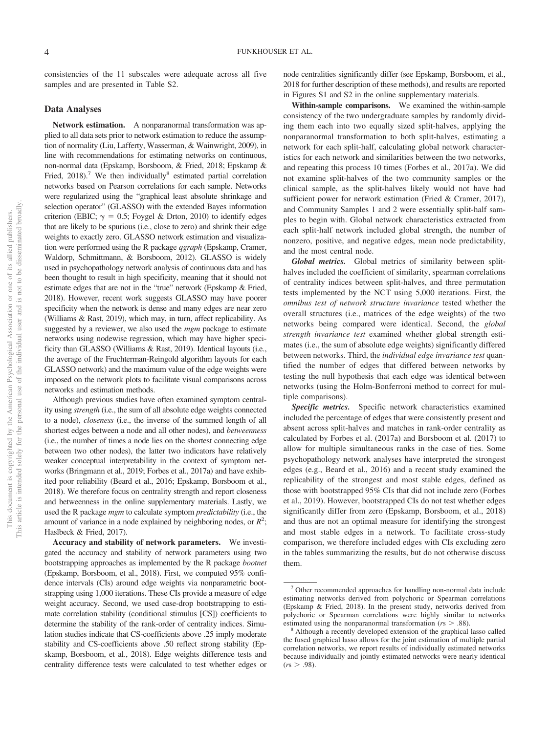consistencies of the 11 subscales were adequate across all five samples and are presented in Table S2.

### **Data Analyses**

**Network estimation.** A nonparanormal transformation was applied to all data sets prior to network estimation to reduce the assumption of normality (Liu, Lafferty, Wasserman, & Wainwright, 2009), in line with recommendations for estimating networks on continuous, non-normal data (Epskamp, Borsboom, & Fried, 2018; Epskamp & Fried,  $2018$ .<sup>7</sup> We then individually<sup>8</sup> estimated partial correlation networks based on Pearson correlations for each sample. Networks were regularized using the "graphical least absolute shrinkage and selection operator" (GLASSO) with the extended Bayes information criterion (EBIC;  $\gamma = 0.5$ ; Foygel & Drton, 2010) to identify edges that are likely to be spurious (i.e., close to zero) and shrink their edge weights to exactly zero. GLASSO network estimation and visualization were performed using the R package *qgraph* (Epskamp, Cramer, Waldorp, Schmittmann, & Borsboom, 2012). GLASSO is widely used in psychopathology network analysis of continuous data and has been thought to result in high specificity, meaning that it should not estimate edges that are not in the "true" network (Epskamp & Fried, 2018). However, recent work suggests GLASSO may have poorer specificity when the network is dense and many edges are near zero (Williams & Rast, 2019), which may, in turn, affect replicability. As suggested by a reviewer, we also used the *mgm* package to estimate networks using nodewise regression, which may have higher specificity than GLASSO (Williams & Rast, 2019). Identical layouts (i.e., the average of the Fruchterman-Reingold algorithm layouts for each GLASSO network) and the maximum value of the edge weights were imposed on the network plots to facilitate visual comparisons across networks and estimation methods.

Although previous studies have often examined symptom centrality using *strength* (i.e., the sum of all absolute edge weights connected to a node), *closeness* (i.e., the inverse of the summed length of all shortest edges between a node and all other nodes), and *betweenness* (i.e., the number of times a node lies on the shortest connecting edge between two other nodes), the latter two indicators have relatively weaker conceptual interpretability in the context of symptom networks (Bringmann et al., 2019; Forbes et al., 2017a) and have exhibited poor reliability (Beard et al., 2016; Epskamp, Borsboom et al., 2018). We therefore focus on centrality strength and report closeness and betweenness in the online supplementary materials. Lastly, we used the R package *mgm* to calculate symptom *predictability* (i.e., the amount of variance in a node explained by neighboring nodes, or  $R^2$ ; Haslbeck & Fried, 2017).

**Accuracy and stability of network parameters.** We investigated the accuracy and stability of network parameters using two bootstrapping approaches as implemented by the R package *bootnet* (Epskamp, Borsboom, et al., 2018). First, we computed 95% confidence intervals (CIs) around edge weights via nonparametric bootstrapping using 1,000 iterations. These CIs provide a measure of edge weight accuracy. Second, we used case-drop bootstrapping to estimate correlation stability (conditional stimulus [CS]) coefficients to determine the stability of the rank-order of centrality indices. Simulation studies indicate that CS-coefficients above .25 imply moderate stability and CS-coefficients above .50 reflect strong stability (Epskamp, Borsboom, et al., 2018). Edge weights difference tests and centrality difference tests were calculated to test whether edges or node centralities significantly differ (see Epskamp, Borsboom, et al., 2018 for further description of these methods), and results are reported in Figures S1 and S2 in the online supplementary materials.

**Within-sample comparisons.** We examined the within-sample consistency of the two undergraduate samples by randomly dividing them each into two equally sized split-halves, applying the nonparanormal transformation to both split-halves, estimating a network for each split-half, calculating global network characteristics for each network and similarities between the two networks, and repeating this process 10 times (Forbes et al., 2017a). We did not examine split-halves of the two community samples or the clinical sample, as the split-halves likely would not have had sufficient power for network estimation (Fried & Cramer, 2017), and Community Samples 1 and 2 were essentially split-half samples to begin with. Global network characteristics extracted from each split-half network included global strength, the number of nonzero, positive, and negative edges, mean node predictability, and the most central node.

*Global metrics.* Global metrics of similarity between splithalves included the coefficient of similarity, spearman correlations of centrality indices between split-halves, and three permutation tests implemented by the NCT using 5,000 iterations. First, the *omnibus test of network structure invariance* tested whether the overall structures (i.e., matrices of the edge weights) of the two networks being compared were identical. Second, the *global strength invariance test* examined whether global strength estimates (i.e., the sum of absolute edge weights) significantly differed between networks. Third, the *individual edge invariance test* quantified the number of edges that differed between networks by testing the null hypothesis that each edge was identical between networks (using the Holm-Bonferroni method to correct for multiple comparisons).

*Specific metrics.* Specific network characteristics examined included the percentage of edges that were consistently present and absent across split-halves and matches in rank-order centrality as calculated by Forbes et al. (2017a) and Borsboom et al. (2017) to allow for multiple simultaneous ranks in the case of ties. Some psychopathology network analyses have interpreted the strongest edges (e.g., Beard et al., 2016) and a recent study examined the replicability of the strongest and most stable edges, defined as those with bootstrapped 95% CIs that did not include zero (Forbes et al., 2019). However, bootstrapped CIs do not test whether edges significantly differ from zero (Epskamp, Borsboom, et al., 2018) and thus are not an optimal measure for identifying the strongest and most stable edges in a network. To facilitate cross-study comparison, we therefore included edges with CIs excluding zero in the tables summarizing the results, but do not otherwise discuss them.

<sup>7</sup> Other recommended approaches for handling non-normal data include estimating networks derived from polychoric or Spearman correlations (Epskamp & Fried, 2018). In the present study, networks derived from polychoric or Spearman correlations were highly similar to networks estimated using the nonparanormal transformation (*rs* > .88).<br><sup>8</sup> Although a recently developed extension of the graphical lasso called

the fused graphical lasso allows for the joint estimation of multiple partial correlation networks, we report results of individually estimated networks because individually and jointly estimated networks were nearly identical  $(rs > .98)$ .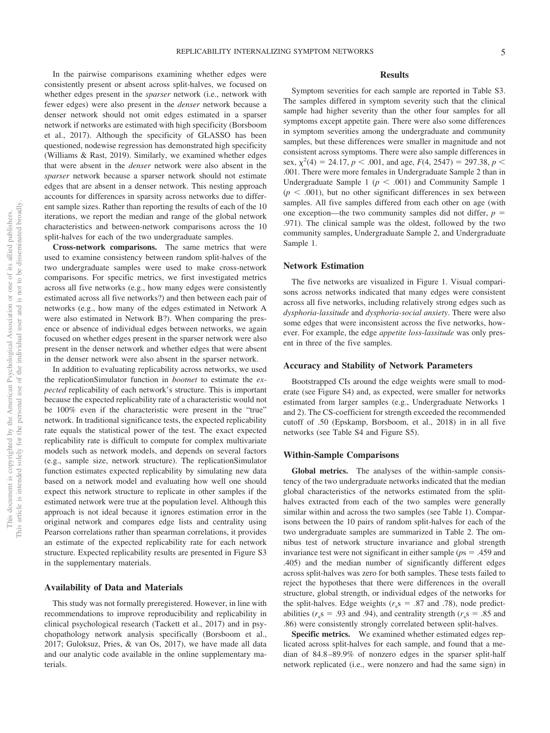In the pairwise comparisons examining whether edges were consistently present or absent across split-halves, we focused on whether edges present in the *sparser* network (i.e., network with fewer edges) were also present in the *denser* network because a denser network should not omit edges estimated in a sparser network if networks are estimated with high specificity (Borsboom et al., 2017). Although the specificity of GLASSO has been questioned, nodewise regression has demonstrated high specificity (Williams & Rast, 2019). Similarly, we examined whether edges that were absent in the *denser* network were also absent in the *sparser* network because a sparser network should not estimate edges that are absent in a denser network. This nesting approach accounts for differences in sparsity across networks due to different sample sizes. Rather than reporting the results of each of the 10 iterations, we report the median and range of the global network characteristics and between-network comparisons across the 10 split-halves for each of the two undergraduate samples.

**Cross-network comparisons.** The same metrics that were used to examine consistency between random split-halves of the two undergraduate samples were used to make cross-network comparisons. For specific metrics, we first investigated metrics across all five networks (e.g., how many edges were consistently estimated across all five networks?) and then between each pair of networks (e.g., how many of the edges estimated in Network A were also estimated in Network B?). When comparing the presence or absence of individual edges between networks, we again focused on whether edges present in the sparser network were also present in the denser network and whether edges that were absent in the denser network were also absent in the sparser network.

In addition to evaluating replicability across networks, we used the replicationSimulator function in *bootnet* to estimate the *expected* replicability of each network's structure. This is important because the expected replicability rate of a characteristic would not be 100% even if the characteristic were present in the "true" network. In traditional significance tests, the expected replicability rate equals the statistical power of the test. The exact expected replicability rate is difficult to compute for complex multivariate models such as network models, and depends on several factors (e.g., sample size, network structure). The replicationSimulator function estimates expected replicability by simulating new data based on a network model and evaluating how well one should expect this network structure to replicate in other samples if the estimated network were true at the population level. Although this approach is not ideal because it ignores estimation error in the original network and compares edge lists and centrality using Pearson correlations rather than spearman correlations, it provides an estimate of the expected replicability rate for each network structure. Expected replicability results are presented in Figure S3 in the supplementary materials.

### **Availability of Data and Materials**

This study was not formally preregistered. However, in line with recommendations to improve reproducibility and replicability in clinical psychological research (Tackett et al., 2017) and in psychopathology network analysis specifically (Borsboom et al., 2017; Guloksuz, Pries, & van Os, 2017), we have made all data and our analytic code available in the online supplementary materials.

### **Results**

Symptom severities for each sample are reported in Table S3. The samples differed in symptom severity such that the clinical sample had higher severity than the other four samples for all symptoms except appetite gain. There were also some differences in symptom severities among the undergraduate and community samples, but these differences were smaller in magnitude and not consistent across symptoms. There were also sample differences in sex,  $\chi^2(4) = 24.17$ ,  $p < .001$ , and age,  $F(4, 2547) = 297.38$ ,  $p <$ .001. There were more females in Undergraduate Sample 2 than in Undergraduate Sample 1 ( $p < .001$ ) and Community Sample 1  $(p < .001)$ , but no other significant differences in sex between samples. All five samples differed from each other on age (with one exception—the two community samples did not differ,  $p =$ .971). The clinical sample was the oldest, followed by the two community samples, Undergraduate Sample 2, and Undergraduate Sample 1.

### **Network Estimation**

The five networks are visualized in Figure 1. Visual comparisons across networks indicated that many edges were consistent across all five networks, including relatively strong edges such as *dysphoria-lassitude* and *dysphoria-social anxiety*. There were also some edges that were inconsistent across the five networks, however. For example, the edge *appetite loss*-*lassitude* was only present in three of the five samples.

### **Accuracy and Stability of Network Parameters**

Bootstrapped CIs around the edge weights were small to moderate (see Figure S4) and, as expected, were smaller for networks estimated from larger samples (e.g., Undergraduate Networks 1 and 2). The CS-coefficient for strength exceeded the recommended cutoff of .50 (Epskamp, Borsboom, et al., 2018) in in all five networks (see Table S4 and Figure S5).

### **Within-Sample Comparisons**

**Global metrics.** The analyses of the within-sample consistency of the two undergraduate networks indicated that the median global characteristics of the networks estimated from the splithalves extracted from each of the two samples were generally similar within and across the two samples (see Table 1). Comparisons between the 10 pairs of random split-halves for each of the two undergraduate samples are summarized in Table 2. The omnibus test of network structure invariance and global strength invariance test were not significant in either sample ( $p$ s = .459 and .405) and the median number of significantly different edges across split-halves was zero for both samples. These tests failed to reject the hypotheses that there were differences in the overall structure, global strength, or individual edges of the networks for the split-halves. Edge weights ( $r<sub>s</sub>s$  = .87 and .78), node predictabilities ( $r_s$ s = .93 and .94), and centrality strength ( $r_s$ s = .85 and .86) were consistently strongly correlated between split-halves.

**Specific metrics.** We examined whether estimated edges replicated across split-halves for each sample, and found that a median of 84.8 –89.9% of nonzero edges in the sparser split-half network replicated (i.e., were nonzero and had the same sign) in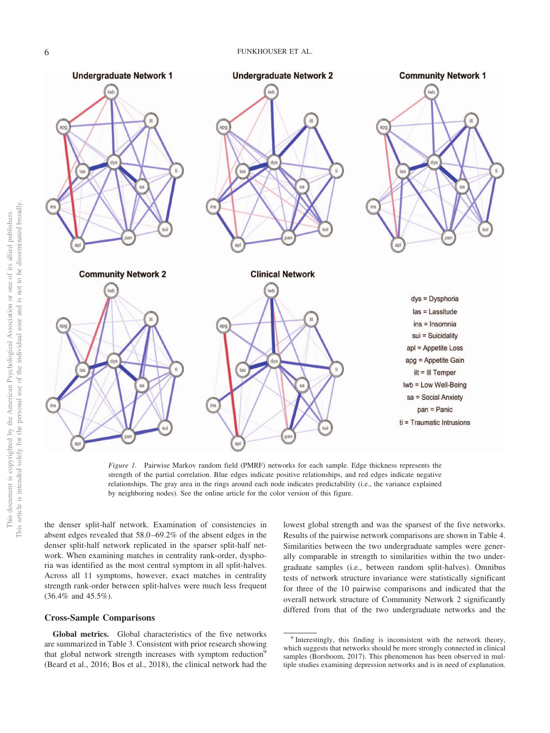

*Figure 1.* Pairwise Markov random field (PMRF) networks for each sample. Edge thickness represents the strength of the partial correlation. Blue edges indicate positive relationships, and red edges indicate negative relationships. The gray area in the rings around each node indicates predictability (i.e., the variance explained by neighboring nodes). See the online article for the color version of this figure.

the denser split-half network. Examination of consistencies in absent edges revealed that 58.0 –69.2% of the absent edges in the denser split-half network replicated in the sparser split-half network. When examining matches in centrality rank-order, dysphoria was identified as the most central symptom in all split-halves. Across all 11 symptoms, however, exact matches in centrality strength rank-order between split-halves were much less frequent (36.4% and 45.5%).

### **Cross-Sample Comparisons**

**Global metrics.** Global characteristics of the five networks are summarized in Table 3. Consistent with prior research showing that global network strength increases with symptom reduction<sup>9</sup> (Beard et al., 2016; Bos et al., 2018), the clinical network had the lowest global strength and was the sparsest of the five networks. Results of the pairwise network comparisons are shown in Table 4. Similarities between the two undergraduate samples were generally comparable in strength to similarities within the two undergraduate samples (i.e., between random split-halves). Omnibus tests of network structure invariance were statistically significant for three of the 10 pairwise comparisons and indicated that the overall network structure of Community Network 2 significantly differed from that of the two undergraduate networks and the

<sup>&</sup>lt;sup>9</sup> Interestingly, this finding is inconsistent with the network theory, which suggests that networks should be more strongly connected in clinical samples (Borsboom, 2017). This phenomenon has been observed in multiple studies examining depression networks and is in need of explanation.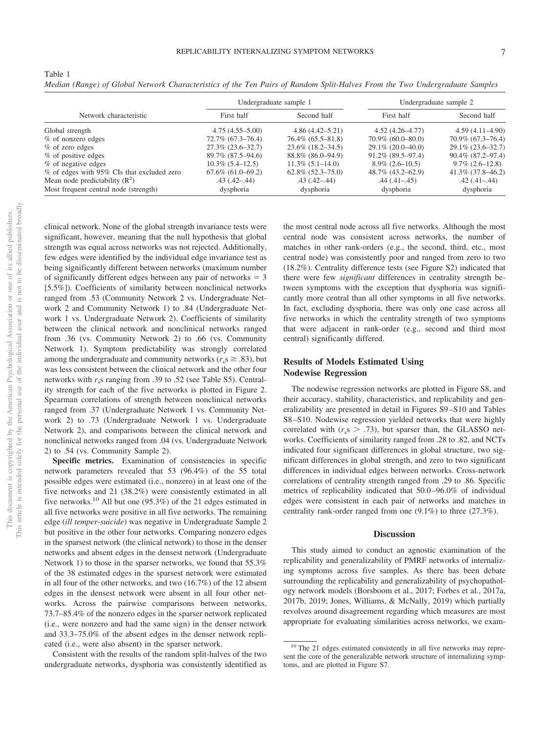|                                            |                        | Undergraduate sample 1   |                        | Undergraduate sample 2 |
|--------------------------------------------|------------------------|--------------------------|------------------------|------------------------|
| Network characteristic                     | First half             | Second half              | First half             | Second half            |
| Global strength                            | $4.75(4.55 - 5.00)$    | $4.86(4.42 - 5.21)$      | $4.52(4.26 - 4.77)$    | $4.59(4.11 - 4.90)$    |
| % of nonzero edges                         | $72.7\%$ (67.3–76.4)   | $76.4\%$ $(65.5 - 81.8)$ | $70.9\%$ (60.0–80.0)   | 70.9% (67.3–76.4)      |
| % of zero edges                            | $27.3\%$ (23.6–32.7)   | $23.6\%$ (18.2–34.5)     | $29.1\% (20.0 - 40.0)$ | $29.1\%$ (23.6–32.7)   |
| % of positive edges                        | 89.7% (87.5–94.6)      | 88.8% (86.0–94.9)        | $91.2\%$ (89.5–97.4)   | $90.4\%$ (87.2–97.4)   |
| % of negative edges                        | $10.3\%$ (5.4–12.5)    | $11.3\%$ (5.1–14.0)      | $8.9\%$ (2.6–10.5)     | $9.7\%$ (2.6–12.8)     |
| % of edges with 95% CIs that excluded zero | $67.6\%$ $(61.0-69.2)$ | $62.8\%$ $(52.3-75.0)$   | 48.7% (43.2–62.9)      | $41.3\%$ (37.8–46.2)   |
| Mean node predictability $(R^2)$           | $.43(.42 - .44)$       | $.43$ $(.42 - .44)$      | $.44(.41 - .45)$       | $.42(.41 - .44)$       |
| Most frequent central node (strength)      | dysphoria              | dysphoria                | dysphoria              | dysphoria              |

*Median (Range) of Global Network Characteristics of the Ten Pairs of Random Split-Halves From the Two Undergraduate Samples*

clinical network. None of the global strength invariance tests were significant, however, meaning that the null hypothesis that global strength was equal across networks was not rejected. Additionally, few edges were identified by the individual edge invariance test as being significantly different between networks (maximum number of significantly different edges between any pair of networks  $= 3$ [5.5%]). Coefficients of similarity between nonclinical networks ranged from .53 (Community Network 2 vs. Undergraduate Network 2 and Community Network 1) to .84 (Undergraduate Network 1 vs. Undergraduate Network 2). Coefficients of similarity between the clinical network and nonclinical networks ranged from .36 (vs. Community Network 2) to .66 (vs. Community Network 1). Symptom predictability was strongly correlated among the undergraduate and community networks ( $r_s \geq .83$ ), but was less consistent between the clinical network and the other four networks with  $r_s$ s ranging from .39 to .52 (see Table S5). Centrality strength for each of the five networks is plotted in Figure 2. Spearman correlations of strength between nonclinical networks ranged from .37 (Undergraduate Network 1 vs. Community Network 2) to .73 (Undergraduate Network 1 vs. Undergraduate Network 2), and comparisons between the clinical network and nonclinical networks ranged from .04 (vs. Undergraduate Network 2) to .54 (vs. Community Sample 2).

**Specific metrics.** Examination of consistencies in specific network parameters revealed that 53 (96.4%) of the 55 total possible edges were estimated (i.e., nonzero) in at least one of the five networks and 21 (38.2%) were consistently estimated in all five networks.10 All but one (95.3%) of the 21 edges estimated in all five networks were positive in all five networks. The remaining edge (*ill temper-suicide*) was negative in Undergraduate Sample 2 but positive in the other four networks. Comparing nonzero edges in the sparsest network (the clinical network) to those in the denser networks and absent edges in the densest network (Undergraduate Network 1) to those in the sparser networks, we found that 55.3% of the 38 estimated edges in the sparsest network were estimated in all four of the other networks, and two (16.7%) of the 12 absent edges in the densest network were absent in all four other networks. Across the pairwise comparisons between networks, 73.7–85.4% of the nonzero edges in the sparser network replicated (i.e., were nonzero and had the same sign) in the denser network and 33.3–75.0% of the absent edges in the denser network replicated (i.e., were also absent) in the sparser network.

Consistent with the results of the random split-halves of the two undergraduate networks, dysphoria was consistently identified as

the most central node across all five networks. Although the most central node was consistent across networks, the number of matches in other rank-orders (e.g., the second, third, etc., most central node) was consistently poor and ranged from zero to two (18.2%). Centrality difference tests (see Figure S2) indicated that there were few *significant* differences in centrality strength between symptoms with the exception that dysphoria was significantly more central than all other symptoms in all five networks. In fact, excluding dysphoria, there was only one case across all five networks in which the centrality strength of two symptoms that were adjacent in rank-order (e.g., second and third most central) significantly differed.

### **Results of Models Estimated Using Nodewise Regression**

The nodewise regression networks are plotted in Figure S8, and their accuracy, stability, characteristics, and replicability and generalizability are presented in detail in Figures S9 –S10 and Tables S8 –S10. Nodewise regression yielded networks that were highly correlated with  $(r<sub>s</sub> > .73)$ , but sparser than, the GLASSO networks. Coefficients of similarity ranged from .28 to .82, and NCTs indicated four significant differences in global structure, two significant differences in global strength, and zero to two significant differences in individual edges between networks. Cross-network correlations of centrality strength ranged from .29 to .86. Specific metrics of replicability indicated that 50.0 –96.0% of individual edges were consistent in each pair of networks and matches in centrality rank-order ranged from one (9.1%) to three (27.3%).

### **Discussion**

This study aimed to conduct an agnostic examination of the replicability and generalizability of PMRF networks of internalizing symptoms across five samples. As there has been debate surrounding the replicability and generalizability of psychopathology network models (Borsboom et al., 2017; Forbes et al., 2017a, 2017b, 2019; Jones, Williams, & McNally, 2019) which partially revolves around disagreement regarding which measures are most appropriate for evaluating similarities across networks, we exam-

Table 1

<sup>&</sup>lt;sup>10</sup> The 21 edges estimated consistently in all five networks may represent the core of the generalizable network structure of internalizing symptoms, and are plotted in Figure S7.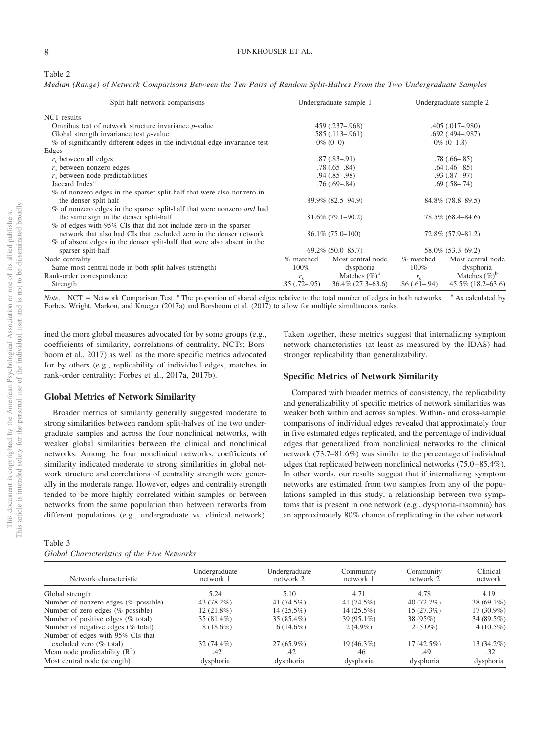*Median (Range) of Network Comparisons Between the Ten Pairs of Random Split-Halves From the Two Undergraduate Samples*

| Split-half network comparisons                                                |                | Undergraduate sample 1   |                | Undergraduate sample 2   |
|-------------------------------------------------------------------------------|----------------|--------------------------|----------------|--------------------------|
| NCT results                                                                   |                |                          |                |                          |
| Omnibus test of network structure invariance $p$ -value                       |                | $.459$ $(.237 - .968)$   |                | $.405(.017-.980)$        |
| Global strength invariance test $p$ -value                                    |                | $.585(.113-.961)$        |                | .692 (.494 - .987)       |
| % of significantly different edges in the individual edge invariance test     |                | $0\%$ (0-0)              |                | $0\%$ (0-1.8)            |
| Edges                                                                         |                |                          |                |                          |
| $r_{s}$ between all edges                                                     |                | $.87(.83-.91)$           |                | $.78(.66 - .85)$         |
| $rs$ between nonzero edges                                                    |                | $.78(.65 - .84)$         |                | $.64$ $(.46 - .85)$      |
| $rs$ between node predictabilities                                            |                | $.94(.85-.98)$           |                | $.93(.87-.97)$           |
| Jaccard Index <sup>a</sup>                                                    |                | $.76(.69 - .84)$         |                | $.69(.58-.74)$           |
| % of nonzero edges in the sparser split-half that were also nonzero in        |                |                          |                |                          |
| the denser split-half                                                         |                | 89.9% (82.5–94.9)        |                | 84.8% (78.8–89.5)        |
| % of nonzero edges in the sparser split-half that were nonzero <i>and</i> had |                |                          |                |                          |
| the same sign in the denser split-half                                        |                | $81.6\%$ (79.1–90.2)     |                | 78.5% (68.4–84.6)        |
| % of edges with 95% CIs that did not include zero in the sparser              |                |                          |                |                          |
| network that also had CIs that excluded zero in the denser network            |                | $86.1\% (75.0 - 100)$    |                | 72.8% (57.9–81.2)        |
| % of absent edges in the denser split-half that were also absent in the       |                |                          |                |                          |
| sparser split-half                                                            |                | $69.2\%$ $(50.0 - 85.7)$ |                | 58.0% (53.3–69.2)        |
| Node centrality                                                               | % matched      | Most central node        | % matched      | Most central node        |
| Same most central node in both split-halves (strength)                        | 100%           | dysphoria                | $100\%$        | dysphoria                |
| Rank-order correspondence                                                     | $r_{\rm s}$    | Matches $(\%)^b$         | $r_{\rm s}$    | Matches $(\%)^b$         |
| Strength                                                                      | $.85(.72-.95)$ | $36.4\%$ (27.3–63.6)     | $.86(.61-.94)$ | $45.5\%$ $(18.2 - 63.6)$ |

Note. NCT = Network Comparison Test. <sup>a</sup> The proportion of shared edges relative to the total number of edges in both networks. <sup>b</sup> As calculated by Forbes, Wright, Markon, and Krueger (2017a) and Borsboom et al. (2017) to allow for multiple simultaneous ranks.

ined the more global measures advocated for by some groups (e.g., coefficients of similarity, correlations of centrality, NCTs; Borsboom et al., 2017) as well as the more specific metrics advocated for by others (e.g., replicability of individual edges, matches in rank-order centrality; Forbes et al., 2017a, 2017b).

### **Global Metrics of Network Similarity**

Broader metrics of similarity generally suggested moderate to strong similarities between random split-halves of the two undergraduate samples and across the four nonclinical networks, with weaker global similarities between the clinical and nonclinical networks. Among the four nonclinical networks, coefficients of similarity indicated moderate to strong similarities in global network structure and correlations of centrality strength were generally in the moderate range. However, edges and centrality strength tended to be more highly correlated within samples or between networks from the same population than between networks from different populations (e.g., undergraduate vs. clinical network).

| Table 3                                     |  |  |
|---------------------------------------------|--|--|
| Global Characteristics of the Five Networks |  |  |

Taken together, these metrics suggest that internalizing symptom network characteristics (at least as measured by the IDAS) had stronger replicability than generalizability.

### **Specific Metrics of Network Similarity**

Compared with broader metrics of consistency, the replicability and generalizability of specific metrics of network similarities was weaker both within and across samples. Within- and cross-sample comparisons of individual edges revealed that approximately four in five estimated edges replicated, and the percentage of individual edges that generalized from nonclinical networks to the clinical network (73.7–81.6%) was similar to the percentage of individual edges that replicated between nonclinical networks (75.0 –85.4%). In other words, our results suggest that if internalizing symptom networks are estimated from two samples from any of the populations sampled in this study, a relationship between two symptoms that is present in one network (e.g., dysphoria-insomnia) has an approximately 80% chance of replicating in the other network.

| Network characteristic               | Undergraduate<br>network 1 | Undergraduate<br>network 2 | Community<br>network 1 | Community<br>network 2 | Clinical<br>network |
|--------------------------------------|----------------------------|----------------------------|------------------------|------------------------|---------------------|
| Global strength                      | 5.24                       | 5.10                       | 4.71                   | 4.78                   | 4.19                |
| Number of nonzero edges (% possible) | 43 (78.2%)                 | 41 (74.5%)                 | 41 (74.5%)             | 40(72.7%)              | 38 $(69.1\%)$       |
| Number of zero edges (% possible)    | $12(21.8\%)$               | $14(25.5\%)$               | $14(25.5\%)$           | 15(27.3%)              | $17(30.9\%)$        |
| Number of positive edges (% total)   | $35(81.4\%)$               | $35(85.4\%)$               | 39 (95.1%)             | 38 (95%)               | 34 (89.5%)          |
| Number of negative edges (% total)   | $8(18.6\%)$                | $6(14.6\%)$                | $2(4.9\%)$             | $2(5.0\%)$             | $4(10.5\%)$         |
| Number of edges with 95% CIs that    |                            |                            |                        |                        |                     |
| excluded zero $(\%$ total)           | $32(74.4\%)$               | $27(65.9\%)$               | $19(46.3\%)$           | $17(42.5\%)$           | 13 (34.2%)          |
| Mean node predictability $(R^2)$     | .42                        | .42                        | .46                    | .49                    | .32                 |
| Most central node (strength)         | dysphoria                  | dysphoria                  | dysphoria              | dysphoria              | dysphoria           |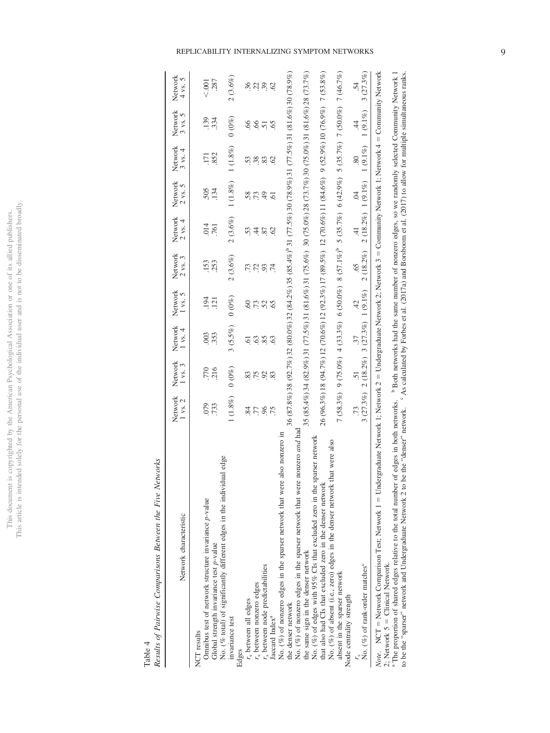# This document is copyrighted by the American Psychological Association or one of its allied publishers.<br>This article is intended solely for the personal use of the individual user and is not to be disseminated broadly. This article is intended solely for the personal use of the individual user and is not to be disseminated broadly. This document is copyrighted by the American Psychological Association or one of its allied publishers.

## Results of Pairwise Comparisons Between the Five Networks *Results of Pairwise Comparisons Between the Five Networks* Table 4

| Network characteristic                                                                                                                                                                                                                                                                                                                                                                                                     | Network<br>$1$ vs. $2$ | Network<br>$1$ vs. $3$ | Network<br>$1$ vs. $4$ | Network<br>$1$ vs. $5$               | Network<br>$2$ vs. $3$                                                                                        | Network<br>$2$ vs. $4$ | Network<br>$2$ vs. $5$ | Network<br>$3$ vs. $4$                 | Network<br>$3$ vs. $5$ | Network<br>5<br>4 vs. |
|----------------------------------------------------------------------------------------------------------------------------------------------------------------------------------------------------------------------------------------------------------------------------------------------------------------------------------------------------------------------------------------------------------------------------|------------------------|------------------------|------------------------|--------------------------------------|---------------------------------------------------------------------------------------------------------------|------------------------|------------------------|----------------------------------------|------------------------|-----------------------|
| Omnibus test of network structure invariance $p$ -value<br>Global strength invariance test <i>p</i> -value<br>NCT results                                                                                                                                                                                                                                                                                                  | 079<br>733             | $770$<br>$216$         | 003<br>353             | 194<br>$\overline{121}$              | .153<br>253                                                                                                   | 014<br>761             | 505<br>134             | 852<br>$\overline{171}$                | .139<br>334            | 287<br>< .001         |
| No. (% total) of significantly different edges in the individual edge<br>invariance test                                                                                                                                                                                                                                                                                                                                   | 1(1.8%)                | $(0\%)$                | 3(5.5%)                | $(0\%)$                              | 2(3.6%)                                                                                                       | 2(3.6%)                | 1(1.8%)                | 1(1.8%)                                | $0\ (0\%)$             | $2(3.6\%)$            |
| $rs$ between all edges<br>Edges                                                                                                                                                                                                                                                                                                                                                                                            | $\ddot{\mathrm{8}}$    |                        | ā                      | $\odot$                              |                                                                                                               |                        | 58.                    | 53.                                    | $\mathcal{S}$          | 36                    |
| r, between nonzero edges                                                                                                                                                                                                                                                                                                                                                                                                   | $77\,$                 | 875                    | 63                     | .73                                  | <b>12</b><br>13                                                                                               | 4                      | .73                    | .38                                    | $\mathcal{S}$          | 22                    |
| $rs$ between node predictabilities                                                                                                                                                                                                                                                                                                                                                                                         | 96                     | 92                     | 85                     | 52                                   | 93                                                                                                            | 87                     | $\ddot{ }$             | 83                                     | $\overline{51}$        |                       |
| Jaccard Index <sup>a</sup>                                                                                                                                                                                                                                                                                                                                                                                                 | .75                    | 83                     | 63                     | 65                                   |                                                                                                               | $\mathcal{S}$          | $\overline{6}$         | $\mathcal{S}$                          | 65                     | <b>S</b>              |
| No. (%) of nonzero edges in the sparser network that were also nonzero in<br>the denser network                                                                                                                                                                                                                                                                                                                            |                        |                        |                        |                                      | 36 (87.8%) 38 (92.7%) 32 (80.0%) 32 (84.2%) 35 (85.4%) 31 (77.5%) 30 (78.9%) 31 (77.5%) 31 (81.6%) 30 (78.9%) |                        |                        |                                        |                        |                       |
| No. (%) of nonzero edges in the sparser network that were nonzero and had<br>the same sign in the denser network                                                                                                                                                                                                                                                                                                           |                        |                        |                        |                                      | 35 (85.4%) 34 (82.9%) 31 (71.5%) 31 (81.6%) 31 (75.6%) 30 (75.0%) 38 (73.7%) 30 (75.0%) 31 (81.6%) 28 (73.7%) |                        |                        |                                        |                        |                       |
| sparser network<br>No. (%) of edges with 95% CIs that excluded zero in the<br>that also had CIs that excluded zero in the denser networl                                                                                                                                                                                                                                                                                   |                        |                        |                        |                                      | 26 (96.3%) 18 (94.7%) 12 (70.6%) 12 (92.3%) 17 (89.5%) 12 (70.6%) 11 (84.6%) 9 (52.9%) 10 (76.9%) 7 (53.8%)   |                        |                        |                                        |                        |                       |
| that were also<br>No. (%) of absent (i.e., zero) edges in the denser network                                                                                                                                                                                                                                                                                                                                               |                        |                        |                        |                                      |                                                                                                               |                        |                        |                                        |                        |                       |
| absent in the sparser network<br>Node centrality strength                                                                                                                                                                                                                                                                                                                                                                  |                        |                        |                        |                                      | 7 (58.3%) 9 (75.0%) 4 (33.3%) 6 (50.0%) 8 (57.1%) 6 (42.9%) 5 (35.7%) 7 (50.0%) 7 (46.7%)                     |                        |                        |                                        |                        |                       |
|                                                                                                                                                                                                                                                                                                                                                                                                                            |                        | $\overline{51}$        | 37                     | d.                                   | $\ddot{\circ}$                                                                                                | 41                     | Ŕ                      | 80                                     | 4                      | $\dot{54}$            |
| No. (%) of rank-order matches <sup>c</sup>                                                                                                                                                                                                                                                                                                                                                                                 | 3(27.3%)               |                        |                        | $2(18.2\%)$ 3 $(27.3\%)$ 1 $(9.1\%)$ | 2 (18.2%)                                                                                                     |                        |                        | $2(18.2\%) 1(9.1\%) 1(9.1\%) 1(9.1\%)$ |                        | 3(27.3%)              |
| Note. NCT = Network Comparison Test; Network 1 = Undergraduate Network 1; Network 2 = Undergraduate Network 2; Network 3 = Community Network 1; Network 4 = Community Network<br><sup>3</sup> The proportion of shared edges relative to the total number of edges in both networks. Both networks had the same number of nonzero edges, so we randomly selected Community Network 1<br>2; Network $5 =$ Clinical Network. |                        |                        |                        |                                      |                                                                                                               |                        |                        |                                        |                        |                       |

The proporuous of a marror conges rotative or the community of the community of the community of the community of the community reserves in the community of the community reserves in the community reserves that the commun <sup>a</sup> The proportion of shared edges relative to the total number of edges in both networks. <sup>b</sup> Both networks had the same number of nonzero edges, so we randomly selected Community Network 1 to be the "sparser" network and Undergraduate Network 2 to be the "denser" network. C As calculated by Forbes et al. (2017a) and Borsboom et al. (2017) to allow for multiple simultaneous ranks.

REPLICABILITY INTERNALIZING SYMPTOM NETWORKS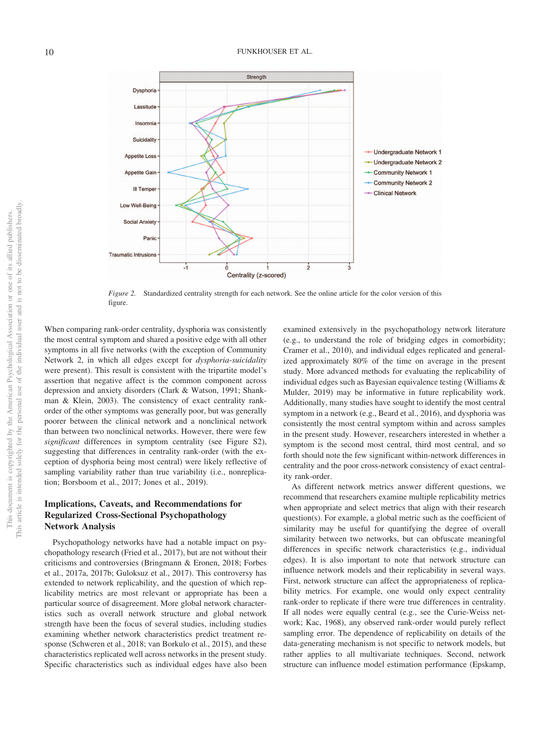

*Figure 2.* Standardized centrality strength for each network. See the online article for the color version of this figure.

When comparing rank-order centrality, dysphoria was consistently the most central symptom and shared a positive edge with all other symptoms in all five networks (with the exception of Community Network 2, in which all edges except for *dysphoria*-*suicidality* were present). This result is consistent with the tripartite model's assertion that negative affect is the common component across depression and anxiety disorders (Clark & Watson, 1991; Shankman & Klein, 2003). The consistency of exact centrality rankorder of the other symptoms was generally poor, but was generally poorer between the clinical network and a nonclinical network than between two nonclinical networks. However, there were few *significant* differences in symptom centrality (see Figure S2), suggesting that differences in centrality rank-order (with the exception of dysphoria being most central) were likely reflective of sampling variability rather than true variability (i.e., nonreplication; Borsboom et al., 2017; Jones et al., 2019).

### **Implications, Caveats, and Recommendations for Regularized Cross-Sectional Psychopathology Network Analysis**

Psychopathology networks have had a notable impact on psychopathology research (Fried et al., 2017), but are not without their criticisms and controversies (Bringmann & Eronen, 2018; Forbes et al., 2017a, 2017b; Guloksuz et al., 2017). This controversy has extended to network replicability, and the question of which replicability metrics are most relevant or appropriate has been a particular source of disagreement. More global network characteristics such as overall network structure and global network strength have been the focus of several studies, including studies examining whether network characteristics predict treatment response (Schweren et al., 2018; van Borkulo et al., 2015), and these characteristics replicated well across networks in the present study. Specific characteristics such as individual edges have also been examined extensively in the psychopathology network literature (e.g., to understand the role of bridging edges in comorbidity; Cramer et al., 2010), and individual edges replicated and generalized approximately 80% of the time on average in the present study. More advanced methods for evaluating the replicability of individual edges such as Bayesian equivalence testing (Williams & Mulder, 2019) may be informative in future replicability work. Additionally, many studies have sought to identify the most central symptom in a network (e.g., Beard et al., 2016), and dysphoria was consistently the most central symptom within and across samples in the present study. However, researchers interested in whether a symptom is the second most central, third most central, and so forth should note the few significant within-network differences in centrality and the poor cross-network consistency of exact centrality rank-order.

As different network metrics answer different questions, we recommend that researchers examine multiple replicability metrics when appropriate and select metrics that align with their research question(s). For example, a global metric such as the coefficient of similarity may be useful for quantifying the degree of overall similarity between two networks, but can obfuscate meaningful differences in specific network characteristics (e.g., individual edges). It is also important to note that network structure can influence network models and their replicability in several ways. First, network structure can affect the appropriateness of replicability metrics. For example, one would only expect centrality rank-order to replicate if there were true differences in centrality. If all nodes were equally central (e.g., see the Curie-Weiss network; Kac, 1968), any observed rank-order would purely reflect sampling error. The dependence of replicability on details of the data-generating mechanism is not specific to network models, but rather applies to all multivariate techniques. Second, network structure can influence model estimation performance (Epskamp,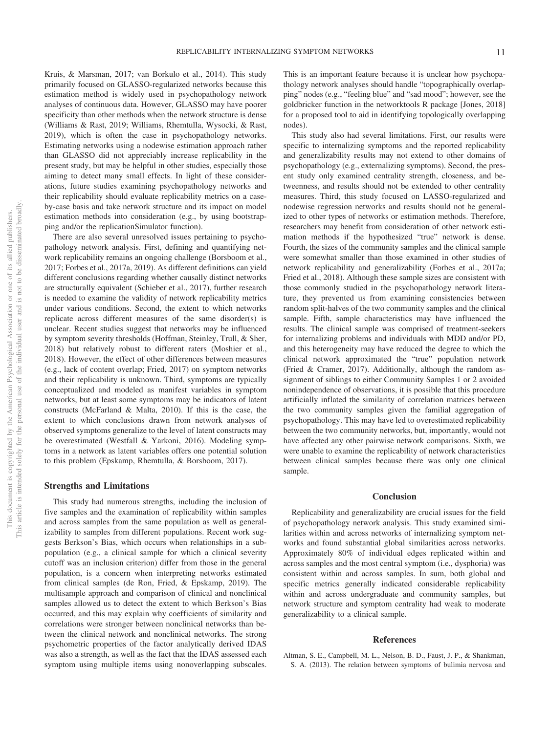Kruis, & Marsman, 2017; van Borkulo et al., 2014). This study primarily focused on GLASSO-regularized networks because this estimation method is widely used in psychopathology network analyses of continuous data. However, GLASSO may have poorer specificity than other methods when the network structure is dense (Williams & Rast, 2019; Williams, Rhemtulla, Wysocki, & Rast, 2019), which is often the case in psychopathology networks. Estimating networks using a nodewise estimation approach rather than GLASSO did not appreciably increase replicability in the present study, but may be helpful in other studies, especially those aiming to detect many small effects. In light of these considerations, future studies examining psychopathology networks and their replicability should evaluate replicability metrics on a caseby-case basis and take network structure and its impact on model estimation methods into consideration (e.g., by using bootstrapping and/or the replicationSimulator function).

There are also several unresolved issues pertaining to psychopathology network analysis. First, defining and quantifying network replicability remains an ongoing challenge (Borsboom et al., 2017; Forbes et al., 2017a, 2019). As different definitions can yield different conclusions regarding whether causally distinct networks are structurally equivalent (Schieber et al., 2017), further research is needed to examine the validity of network replicability metrics under various conditions. Second, the extent to which networks replicate across different measures of the same disorder(s) is unclear. Recent studies suggest that networks may be influenced by symptom severity thresholds (Hoffman, Steinley, Trull, & Sher, 2018) but relatively robust to different raters (Moshier et al., 2018). However, the effect of other differences between measures (e.g., lack of content overlap; Fried, 2017) on symptom networks and their replicability is unknown. Third, symptoms are typically conceptualized and modeled as manifest variables in symptom networks, but at least some symptoms may be indicators of latent constructs (McFarland & Malta, 2010). If this is the case, the extent to which conclusions drawn from network analyses of observed symptoms generalize to the level of latent constructs may be overestimated (Westfall & Yarkoni, 2016). Modeling symptoms in a network as latent variables offers one potential solution to this problem (Epskamp, Rhemtulla, & Borsboom, 2017).

### **Strengths and Limitations**

This study had numerous strengths, including the inclusion of five samples and the examination of replicability within samples and across samples from the same population as well as generalizability to samples from different populations. Recent work suggests Berkson's Bias, which occurs when relationships in a subpopulation (e.g., a clinical sample for which a clinical severity cutoff was an inclusion criterion) differ from those in the general population, is a concern when interpreting networks estimated from clinical samples (de Ron, Fried, & Epskamp, 2019). The multisample approach and comparison of clinical and nonclinical samples allowed us to detect the extent to which Berkson's Bias occurred, and this may explain why coefficients of similarity and correlations were stronger between nonclinical networks than between the clinical network and nonclinical networks. The strong psychometric properties of the factor analytically derived IDAS was also a strength, as well as the fact that the IDAS assessed each symptom using multiple items using nonoverlapping subscales. This is an important feature because it is unclear how psychopathology network analyses should handle "topographically overlapping" nodes (e.g., "feeling blue" and "sad mood"; however, see the goldbricker function in the networktools R package [Jones, 2018] for a proposed tool to aid in identifying topologically overlapping nodes).

This study also had several limitations. First, our results were specific to internalizing symptoms and the reported replicability and generalizability results may not extend to other domains of psychopathology (e.g., externalizing symptoms). Second, the present study only examined centrality strength, closeness, and betweenness, and results should not be extended to other centrality measures. Third, this study focused on LASSO-regularized and nodewise regression networks and results should not be generalized to other types of networks or estimation methods. Therefore, researchers may benefit from consideration of other network estimation methods if the hypothesized "true" network is dense. Fourth, the sizes of the community samples and the clinical sample were somewhat smaller than those examined in other studies of network replicability and generalizability (Forbes et al., 2017a; Fried et al., 2018). Although these sample sizes are consistent with those commonly studied in the psychopathology network literature, they prevented us from examining consistencies between random split-halves of the two community samples and the clinical sample. Fifth, sample characteristics may have influenced the results. The clinical sample was comprised of treatment-seekers for internalizing problems and individuals with MDD and/or PD, and this heterogeneity may have reduced the degree to which the clinical network approximated the "true" population network (Fried & Cramer, 2017). Additionally, although the random assignment of siblings to either Community Samples 1 or 2 avoided nonindependence of observations, it is possible that this procedure artificially inflated the similarity of correlation matrices between the two community samples given the familial aggregation of psychopathology. This may have led to overestimated replicability between the two community networks, but, importantly, would not have affected any other pairwise network comparisons. Sixth, we were unable to examine the replicability of network characteristics between clinical samples because there was only one clinical sample.

### **Conclusion**

Replicability and generalizability are crucial issues for the field of psychopathology network analysis. This study examined similarities within and across networks of internalizing symptom networks and found substantial global similarities across networks. Approximately 80% of individual edges replicated within and across samples and the most central symptom (i.e., dysphoria) was consistent within and across samples. In sum, both global and specific metrics generally indicated considerable replicability within and across undergraduate and community samples, but network structure and symptom centrality had weak to moderate generalizability to a clinical sample.

### **References**

Altman, S. E., Campbell, M. L., Nelson, B. D., Faust, J. P., & Shankman, S. A. (2013). The relation between symptoms of bulimia nervosa and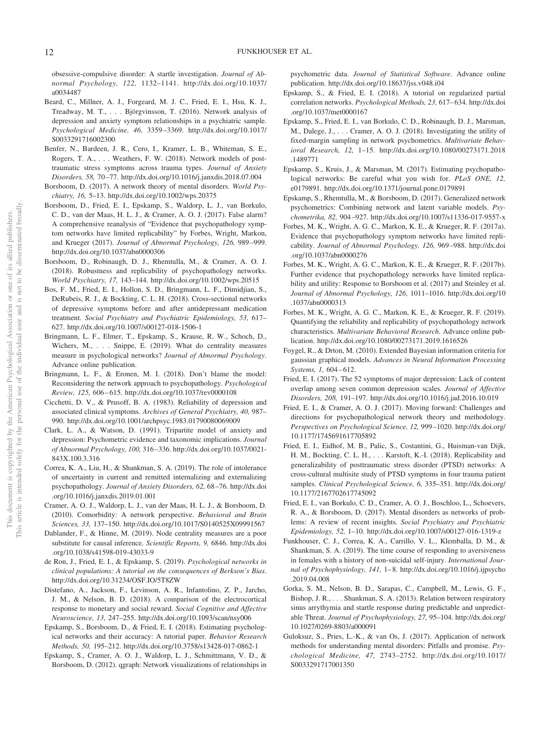obsessive-compulsive disorder: A startle investigation. *Journal of Abnormal Psychology, 122,* 1132–1141. http://dx.doi.org/10.1037/ a0034487

- Beard, C., Millner, A. J., Forgeard, M. J. C., Fried, E. I., Hsu, K. J., Treadway, M. T.,... Björgvinsson, T. (2016). Network analysis of depression and anxiety symptom relationships in a psychiatric sample. *Psychological Medicine, 46,* 3359 –3369. http://dx.doi.org/10.1017/ S0033291716002300
- Benfer, N., Bardeen, J. R., Cero, I., Kramer, L. B., Whiteman, S. E., Rogers, T. A.,... Weathers, F. W. (2018). Network models of posttraumatic stress symptoms across trauma types. *Journal of Anxiety Disorders, 58,* 70 –77. http://dx.doi.org/10.1016/j.janxdis.2018.07.004
- Borsboom, D. (2017). A network theory of mental disorders. *World Psychiatry, 16,* 5–13. http://dx.doi.org/10.1002/wps.20375
- Borsboom, D., Fried, E. I., Epskamp, S., Waldorp, L. J., van Borkulo, C. D., van der Maas, H. L. J., & Cramer, A. O. J. (2017). False alarm? A comprehensive reanalysis of "Evidence that psychopathology symptom networks have limited replicability" by Forbes, Wright, Markon, and Krueger (2017). *Journal of Abnormal Psychology, 126,* 989 –999. http://dx.doi.org/10.1037/abn0000306
- Borsboom, D., Robinaugh, D. J., Rhemtulla, M., & Cramer, A. O. J. (2018). Robustness and replicability of psychopathology networks. *World Psychiatry, 17,* 143–144. http://dx.doi.org/10.1002/wps.20515
- Bos, F. M., Fried, E. I., Hollon, S. D., Bringmann, L. F., Dimidjian, S., DeRubeis, R. J., & Bockting, C. L. H. (2018). Cross-sectional networks of depressive symptoms before and after antidepressant medication treatment. *Social Psychiatry and Psychiatric Epidemiology, 53,* 617– 627. http://dx.doi.org/10.1007/s00127-018-1506-1
- Bringmann, L. F., Elmer, T., Epskamp, S., Krause, R. W., Schoch, D., Wichers, M.,... Snippe, E. (2019). What do centrality measures measure in psychological networks? *Journal of Abnormal Psychology*. Advance online publication.
- Bringmann, L. F., & Eronen, M. I. (2018). Don't blame the model: Reconsidering the network approach to psychopathology. *Psychological Review, 125,* 606 – 615. http://dx.doi.org/10.1037/rev0000108
- Cicchetti, D. V., & Prusoff, B. A. (1983). Reliability of depression and associated clinical symptoms. *Archives of General Psychiatry, 40,* 987– 990. http://dx.doi.org/10.1001/archpsyc.1983.01790080069009
- Clark, L. A., & Watson, D. (1991). Tripartite model of anxiety and depression: Psychometric evidence and taxonomic implications. *Journal of Abnormal Psychology, 100,* 316 –336. http://dx.doi.org/10.1037/0021- 843X.100.3.316
- Correa, K. A., Liu, H., & Shankman, S. A. (2019). The role of intolerance of uncertainty in current and remitted internalizing and externalizing psychopathology. *Journal of Anxiety Disorders, 62,* 68 –76. http://dx.doi .org/10.1016/j.janxdis.2019.01.001
- Cramer, A. O. J., Waldorp, L. J., van der Maas, H. L. J., & Borsboom, D. (2010). Comorbidity: A network perspective. *Behavioral and Brain Sciences, 33,* 137–150. http://dx.doi.org/10.1017/S0140525X09991567
- Dablander, F., & Hinne, M. (2019). Node centrality measures are a poor substitute for causal inference. *Scientific Reports, 9,* 6846. http://dx.doi .org/10.1038/s41598-019-43033-9
- de Ron, J., Fried, E. I., & Epskamp, S. (2019). *Psychological networks in clinical populations: A tutorial on the consequences of Berkson's Bias*. http://dx.doi.org/10.31234/OSF.IO/5T8ZW
- Distefano, A., Jackson, F., Levinson, A. R., Infantolino, Z. P., Jarcho, J. M., & Nelson, B. D. (2018). A comparison of the electrocortical response to monetary and social reward. *Social Cognitive and Affective Neuroscience, 13,* 247–255. http://dx.doi.org/10.1093/scan/nsy006
- Epskamp, S., Borsboom, D., & Fried, E. I. (2018). Estimating psychological networks and their accuracy: A tutorial paper. *Behavior Research Methods, 50,* 195–212. http://dx.doi.org/10.3758/s13428-017-0862-1
- Epskamp, S., Cramer, A. O. J., Waldorp, L. J., Schmittmann, V. D., & Borsboom, D. (2012). qgraph: Network visualizations of relationships in

psychometric data. *Journal of Statistical Software*. Advance online publication. http://dx.doi.org/10.18637/jss.v048.i04

- Epskamp, S., & Fried, E. I. (2018). A tutorial on regularized partial correlation networks. *Psychological Methods, 23,* 617– 634. http://dx.doi .org/10.1037/met0000167
- Epskamp, S., Fried, E. I., van Borkulo, C. D., Robinaugh, D. J., Marsman, M., Dalege, J.,... Cramer, A. O. J. (2018). Investigating the utility of fixed-margin sampling in network psychometrics. *Multivariate Behavioral Research, 12,* 1–15. http://dx.doi.org/10.1080/00273171.2018 .1489771
- Epskamp, S., Kruis, J., & Marsman, M. (2017). Estimating psychopathological networks: Be careful what you wish for. *PLoS ONE, 12,* e0179891. http://dx.doi.org/10.1371/journal.pone.0179891
- Epskamp, S., Rhemtulla, M., & Borsboom, D. (2017). Generalized network psychometrics: Combining network and latent variable models. *Psychometrika, 82,* 904 –927. http://dx.doi.org/10.1007/s11336-017-9557-x
- Forbes, M. K., Wright, A. G. C., Markon, K. E., & Krueger, R. F. (2017a). Evidence that psychopathology symptom networks have limited replicability. *Journal of Abnormal Psychology, 126,* 969 –988. http://dx.doi .org/10.1037/abn0000276
- Forbes, M. K., Wright, A. G. C., Markon, K. E., & Krueger, R. F. (2017b). Further evidence that psychopathology networks have limited replicability and utility: Response to Borsboom et al. (2017) and Steinley et al. *Journal of Abnormal Psychology, 126,* 1011–1016. http://dx.doi.org/10 .1037/abn0000313
- Forbes, M. K., Wright, A. G. C., Markon, K. E., & Krueger, R. F. (2019). Quantifying the reliability and replicability of psychopathology network characteristics. *Multivariate Behavioral Research*. Advance online publication. http://dx.doi.org/10.1080/00273171.2019.1616526
- Foygel, R., & Drton, M. (2010). Extended Bayesian information criteria for gaussian graphical models. *Advances in Neural Information Processing Systems, 1,* 604 – 612.
- Fried, E. I. (2017). The 52 symptoms of major depression: Lack of content overlap among seven common depression scales. *Journal of Affective Disorders, 208,* 191–197. http://dx.doi.org/10.1016/j.jad.2016.10.019
- Fried, E. I., & Cramer, A. O. J. (2017). Moving forward: Challenges and directions for psychopathological network theory and methodology. *Perspectives on Psychological Science, 12,* 999 –1020. http://dx.doi.org/ 10.1177/1745691617705892
- Fried, E. I., Eidhof, M. B., Palic, S., Costantini, G., Huisman-van Dijk, H. M., Bockting, C. L. H.,... Karstoft, K.-I. (2018). Replicability and generalizability of posttraumatic stress disorder (PTSD) networks: A cross-cultural multisite study of PTSD symptoms in four trauma patient samples. *Clinical Psychological Science, 6,* 335–351. http://dx.doi.org/ 10.1177/2167702617745092
- Fried, E. I., van Borkulo, C. D., Cramer, A. O. J., Boschloo, L., Schoevers, R. A., & Borsboom, D. (2017). Mental disorders as networks of problems: A review of recent insights. *Social Psychiatry and Psychiatric Epidemiology, 52,* 1–10. http://dx.doi.org/10.1007/s00127-016-1319-z
- Funkhouser, C. J., Correa, K. A., Carrillo, V. L., Klemballa, D. M., & Shankman, S. A. (2019). The time course of responding to aversiveness in females with a history of non-suicidal self-injury. *International Journal of Psychophysiology, 141,* 1– 8. http://dx.doi.org/10.1016/j.ijpsycho .2019.04.008
- Gorka, S. M., Nelson, B. D., Sarapas, C., Campbell, M., Lewis, G. F., Bishop, J. R.,... Shankman, S. A. (2013). Relation between respiratory sinus arrythymia and startle response during predictable and unpredictable Threat. *Journal of Psychophysiology, 27,* 95–104. http://dx.doi.org/ 10.1027/0269-8803/a000091
- Guloksuz, S., Pries, L.-K., & van Os, J. (2017). Application of network methods for understanding mental disorders: Pitfalls and promise. *Psychological Medicine, 47,* 2743–2752. http://dx.doi.org/10.1017/ S0033291717001350